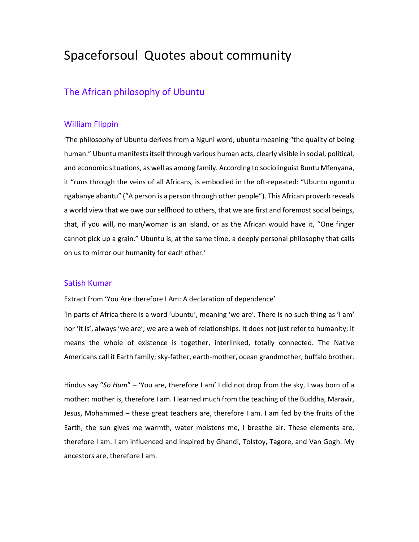# Spaceforsoul Quotes about community

# The African philosophy of Ubuntu

## William Flippin

'The philosophy of Ubuntu derives from a Nguni word, ubuntu meaning "the quality of being human." Ubuntu manifests itself through various human acts, clearly visible in social, political, and economic situations, as well as among family. According to sociolinguist Buntu Mfenyana, it "runs through the veins of all Africans, is embodied in the oft-repeated: "Ubuntu ngumtu ngabanye abantu" ("A person is a person through other people"). This African proverb reveals a world view that we owe our selfhood to others, that we are first and foremost social beings, that, if you will, no man/woman is an island, or as the African would have it, "One finger cannot pick up a grain." Ubuntu is, at the same time, a deeply personal philosophy that calls on us to mirror our humanity for each other.'

## Satish Kumar

Extract from 'You Are therefore I Am: A declaration of dependence'

'In parts of Africa there is a word 'ubuntu', meaning 'we are'. There is no such thing as 'I am' nor 'it is', always 'we are'; we are a web of relationships. It does not just refer to humanity; it means the whole of existence is together, interlinked, totally connected. The Native Americans call it Earth family; sky-father, earth-mother, ocean grandmother, buffalo brother.

Hindus say "*So Hum*" – 'You are, therefore I am' I did not drop from the sky, I was born of a mother: mother is, therefore I am. I learned much from the teaching of the Buddha, Maravir, Jesus, Mohammed – these great teachers are, therefore I am. I am fed by the fruits of the Earth, the sun gives me warmth, water moistens me, I breathe air. These elements are, therefore I am. I am influenced and inspired by Ghandi, Tolstoy, Tagore, and Van Gogh. My ancestors are, therefore I am.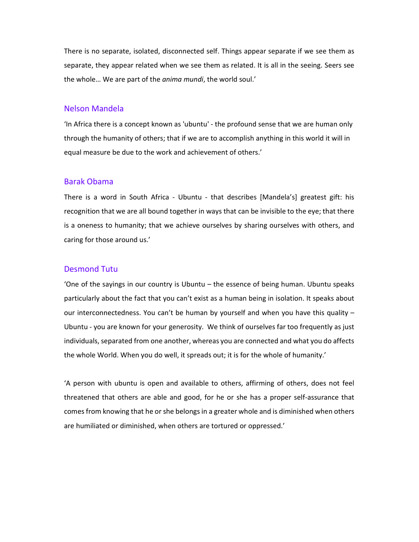There is no separate, isolated, disconnected self. Things appear separate if we see them as separate, they appear related when we see them as related. It is all in the seeing. Seers see the whole… We are part of the *anima mundi*, the world soul.'

#### Nelson Mandela

'In Africa there is a concept known as 'ubuntu' - the profound sense that we are human only through the humanity of others; that if we are to accomplish anything in this world it will in equal measure be due to the work and achievement of others.'

# Barak Obama

There is a word in South Africa - Ubuntu - that describes [Mandela's] greatest gift: his recognition that we are all bound together in ways that can be invisible to the eye; that there is a oneness to humanity; that we achieve ourselves by sharing ourselves with others, and caring for those around us.'

## Desmond Tutu

'One of the sayings in our country is Ubuntu – the essence of being human. Ubuntu speaks particularly about the fact that you can't exist as a human being in isolation. It speaks about our interconnectedness. You can't be human by yourself and when you have this quality – Ubuntu - you are known for your generosity. We think of ourselves far too frequently as just individuals, separated from one another, whereas you are connected and what you do affects the whole World. When you do well, it spreads out; it is for the whole of humanity.'

'A person with ubuntu is open and available to others, affirming of others, does not feel threatened that others are able and good, for he or she has a proper self-assurance that comes from knowing that he or she belongs in a greater whole and is diminished when others are humiliated or diminished, when others are tortured or oppressed.'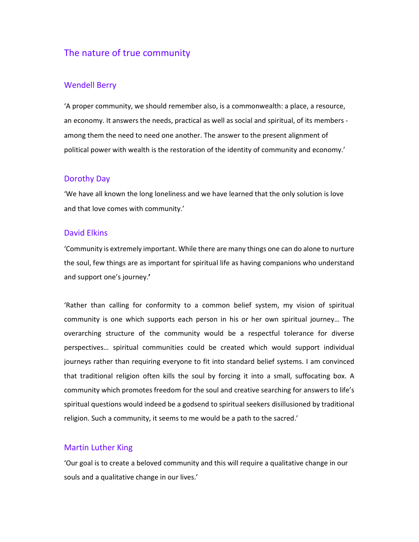# The nature of true community

# Wendell Berry

'A proper community, we should remember also, is a commonwealth: a place, a resource, an economy. It answers the needs, practical as well as social and spiritual, of its members among them the need to need one another. The answer to the present alignment of political power with wealth is the restoration of the identity of community and economy.'

## Dorothy Day

'We have all known the long loneliness and we have learned that the only solution is love and that love comes with community.'

# David Elkins

'Community is extremely important. While there are many things one can do alone to nurture the soul, few things are as important for spiritual life as having companions who understand and support one's journey.**'** 

'Rather than calling for conformity to a common belief system, my vision of spiritual community is one which supports each person in his or her own spiritual journey… The overarching structure of the community would be a respectful tolerance for diverse perspectives… spiritual communities could be created which would support individual journeys rather than requiring everyone to fit into standard belief systems. I am convinced that traditional religion often kills the soul by forcing it into a small, suffocating box. A community which promotes freedom for the soul and creative searching for answers to life's spiritual questions would indeed be a godsend to spiritual seekers disillusioned by traditional religion. Such a community, it seems to me would be a path to the sacred.'

### Martin Luther King

'Our goal is to create a beloved community and this will require a qualitative change in our souls and a qualitative change in our lives.'